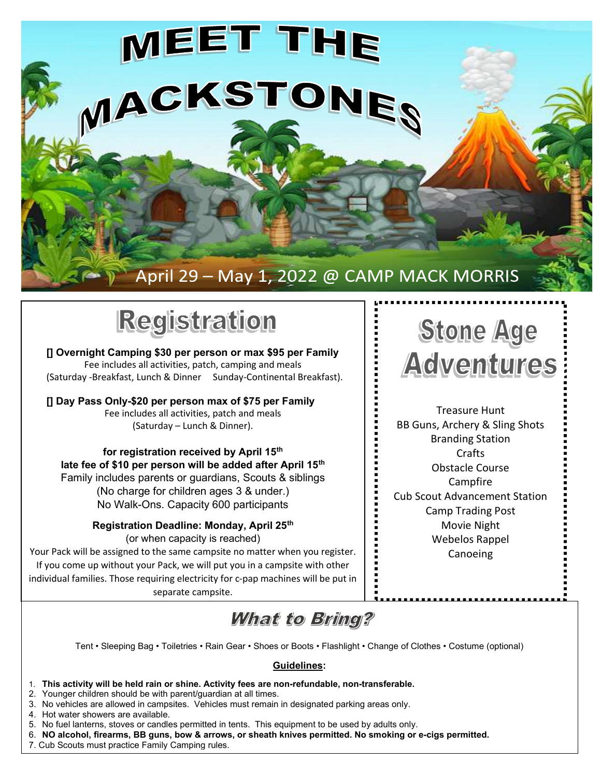



[] Overnight Camping \$30 per person or max \$95 per Family Fee includes all activities, patch, camping and meals (Saturday -Breakfast, Lunch & Dinner Sunday-Continental Breakfast).

[] Day Pass Only-\$20 per person max of \$75 per Family Fee includes all activities, patch and meals (Saturday – Lunch & Dinner).

for registration received by April 15<sup>th</sup> late fee of \$10 per person will be added after April 15<sup>th</sup> Family includes parents or guardians, Scouts & siblings (No charge for children ages 3 & under.) No Walk-Ons. Capacity 600 participants

> Registration Deadline: Monday, April 25<sup>th</sup> (or when capacity is reached)

Your Pack will be assigned to the same campsite no matter when you register. If you come up without your Pack, we will put you in a campsite with other individual families. Those requiring electricity for c-pap machines will be put in separate campsite.

## **Stone Age** Adwentures

Treasure Hunt BB Guns, Archery & Sling Shots Branding Station **Crafts** Obstacle Course Campfire Cub Scout Advancement Station Camp Trading Post Movie Night Webelos Rappel Canoeing

## **What to Bring?**

Tent • Sleeping Bag • Toiletries • Rain Gear • Shoes or Boots • Flashlight • Change of Clothes • Costume (optional)

## Guidelines:

- 1. This activity will be held rain or shine. Activity fees are non-refundable, non-transferable.
- 2. Younger children should be with parent/guardian at all times.
- 3. No vehicles are allowed in campsites. Vehicles must remain in designated parking areas only.
- 4. Hot water showers are available.
- 5. No fuel lanterns, stoves or candles permitted in tents. This equipment to be used by adults only.
- 6. NO alcohol, firearms, BB guns, bow & arrows, or sheath knives permitted. No smoking or e-cigs permitted.
- 7. Cub Scouts must practice Family Camping rules.